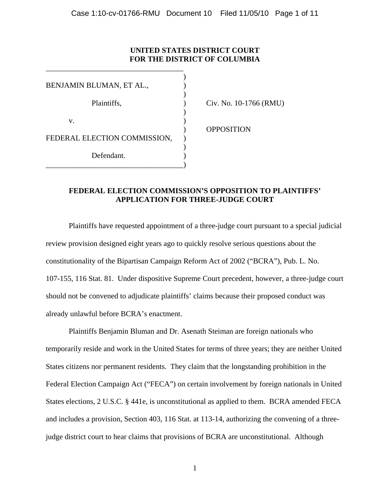### **UNITED STATES DISTRICT COURT FOR THE DISTRICT OF COLUMBIA**

| BENJAMIN BLUMAN, ET AL.,     |  |
|------------------------------|--|
|                              |  |
| Plaintiffs,                  |  |
|                              |  |
| v.                           |  |
|                              |  |
| FEDERAL ELECTION COMMISSION, |  |
|                              |  |
| Defendant.                   |  |
|                              |  |

\_\_\_\_\_\_\_\_\_\_\_\_\_\_\_\_\_\_\_\_\_\_\_\_\_\_\_\_\_\_\_\_\_\_\_\_

Civ. No. 10-1766 (RMU)

) OPPOSITION

### **FEDERAL ELECTION COMMISSION'S OPPOSITION TO PLAINTIFFS' APPLICATION FOR THREE-JUDGE COURT**

Plaintiffs have requested appointment of a three-judge court pursuant to a special judicial review provision designed eight years ago to quickly resolve serious questions about the constitutionality of the Bipartisan Campaign Reform Act of 2002 ("BCRA"), Pub. L. No. 107-155, 116 Stat. 81. Under dispositive Supreme Court precedent, however, a three-judge court should not be convened to adjudicate plaintiffs' claims because their proposed conduct was already unlawful before BCRA's enactment.

Plaintiffs Benjamin Bluman and Dr. Asenath Steiman are foreign nationals who temporarily reside and work in the United States for terms of three years; they are neither United States citizens nor permanent residents. They claim that the longstanding prohibition in the Federal Election Campaign Act ("FECA") on certain involvement by foreign nationals in United States elections, 2 U.S.C. § 441e, is unconstitutional as applied to them. BCRA amended FECA and includes a provision, Section 403, 116 Stat. at 113-14, authorizing the convening of a threejudge district court to hear claims that provisions of BCRA are unconstitutional. Although

1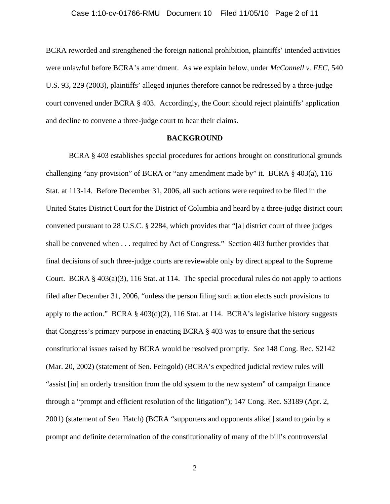#### Case 1:10-cv-01766-RMU Document 10 Filed 11/05/10 Page 2 of 11

BCRA reworded and strengthened the foreign national prohibition, plaintiffs' intended activities were unlawful before BCRA's amendment. As we explain below, under *McConnell v. FEC*, 540 U.S. 93, 229 (2003), plaintiffs' alleged injuries therefore cannot be redressed by a three-judge court convened under BCRA § 403. Accordingly, the Court should reject plaintiffs' application and decline to convene a three-judge court to hear their claims.

#### **BACKGROUND**

BCRA § 403 establishes special procedures for actions brought on constitutional grounds challenging "any provision" of BCRA or "any amendment made by" it. BCRA § 403(a), 116 Stat. at 113-14. Before December 31, 2006, all such actions were required to be filed in the United States District Court for the District of Columbia and heard by a three-judge district court convened pursuant to 28 U.S.C. § 2284, which provides that "[a] district court of three judges shall be convened when . . . required by Act of Congress." Section 403 further provides that final decisions of such three-judge courts are reviewable only by direct appeal to the Supreme Court. BCRA § 403(a)(3), 116 Stat. at 114.The special procedural rules do not apply to actions filed after December 31, 2006, "unless the person filing such action elects such provisions to apply to the action." BCRA §  $403(d)(2)$ , 116 Stat. at 114. BCRA's legislative history suggests that Congress's primary purpose in enacting BCRA § 403 was to ensure that the serious constitutional issues raised by BCRA would be resolved promptly. *See* 148 Cong. Rec. S2142 (Mar. 20, 2002) (statement of Sen. Feingold) (BCRA's expedited judicial review rules will "assist [in] an orderly transition from the old system to the new system" of campaign finance through a "prompt and efficient resolution of the litigation"); 147 Cong. Rec. S3189 (Apr. 2, 2001) (statement of Sen. Hatch) (BCRA "supporters and opponents alike[] stand to gain by a prompt and definite determination of the constitutionality of many of the bill's controversial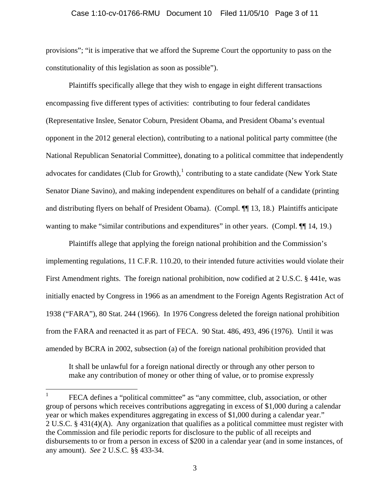#### Case 1:10-cv-01766-RMU Document 10 Filed 11/05/10 Page 3 of 11

provisions"; "it is imperative that we afford the Supreme Court the opportunity to pass on the constitutionality of this legislation as soon as possible").

Plaintiffs specifically allege that they wish to engage in eight different transactions encompassing five different types of activities: contributing to four federal candidates (Representative Inslee, Senator Coburn, President Obama, and President Obama's eventual opponent in the 2012 general election), contributing to a national political party committee (the National Republican Senatorial Committee), donating to a political committee that independently advocates for candidates (Club for Growth), $<sup>1</sup>$  $<sup>1</sup>$  $<sup>1</sup>$  contributing to a state candidate (New York State</sup> Senator Diane Savino), and making independent expenditures on behalf of a candidate (printing and distributing flyers on behalf of President Obama). (Compl. ¶¶ 13, 18.) Plaintiffs anticipate wanting to make "similar contributions and expenditures" in other years. (Compl.  $\P$  14, 19.)

 Plaintiffs allege that applying the foreign national prohibition and the Commission's implementing regulations, 11 C.F.R. 110.20, to their intended future activities would violate their First Amendment rights. The foreign national prohibition, now codified at 2 U.S.C. § 441e, was initially enacted by Congress in 1966 as an amendment to the Foreign Agents Registration Act of 1938 ("FARA"), 80 Stat. 244 (1966). In 1976 Congress deleted the foreign national prohibition from the FARA and reenacted it as part of FECA. 90 Stat. 486, 493, 496 (1976). Until it was amended by BCRA in 2002, subsection (a) of the foreign national prohibition provided that

It shall be unlawful for a foreign national directly or through any other person to make any contribution of money or other thing of value, or to promise expressly

<span id="page-2-0"></span> $\frac{1}{1}$  FECA defines a "political committee" as "any committee, club, association, or other group of persons which receives contributions aggregating in excess of \$1,000 during a calendar year or which makes expenditures aggregating in excess of \$1,000 during a calendar year." 2 U.S.C. § 431(4)(A). Any organization that qualifies as a political committee must register with the Commission and file periodic reports for disclosure to the public of all receipts and disbursements to or from a person in excess of \$200 in a calendar year (and in some instances, of any amount). *See* 2 U.S.C. §§ 433-34.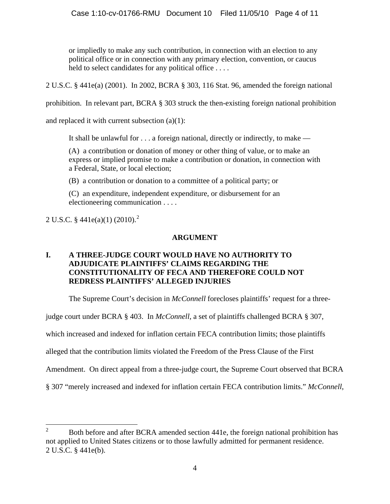or impliedly to make any such contribution, in connection with an election to any political office or in connection with any primary election, convention, or caucus held to select candidates for any political office ....

2 U.S.C. § 441e(a) (2001). In 2002, BCRA § 303, 116 Stat. 96, amended the foreign national

prohibition. In relevant part, BCRA § 303 struck the then-existing foreign national prohibition

and replaced it with current subsection (a)(1):

It shall be unlawful for . . . a foreign national, directly or indirectly, to make —

(A) a contribution or donation of money or other thing of value, or to make an express or implied promise to make a contribution or donation, in connection with a Federal, State, or local election;

(B) a contribution or donation to a committee of a political party; or

(C) an expenditure, independent expenditure, or disbursement for an electioneering communication . . . .

[2](#page-3-0) U.S.C. § 441e(a)(1) (2010).<sup>2</sup>

## **ARGUMENT**

## **I. A THREE-JUDGE COURT WOULD HAVE NO AUTHORITY TO ADJUDICATE PLAINTIFFS' CLAIMS REGARDING THE CONSTITUTIONALITY OF FECA AND THEREFORE COULD NOT REDRESS PLAINTIFFS' ALLEGED INJURIES**

The Supreme Court's decision in *McConnell* forecloses plaintiffs' request for a three-

judge court under BCRA § 403. In *McConnell*, a set of plaintiffs challenged BCRA § 307,

which increased and indexed for inflation certain FECA contribution limits; those plaintiffs

alleged that the contribution limits violated the Freedom of the Press Clause of the First

Amendment. On direct appeal from a three-judge court, the Supreme Court observed that BCRA

§ 307 "merely increased and indexed for inflation certain FECA contribution limits." *McConnell*,

<span id="page-3-0"></span> $\frac{1}{2}$  Both before and after BCRA amended section 441e, the foreign national prohibition has not applied to United States citizens or to those lawfully admitted for permanent residence. 2 U.S.C. § 441e(b).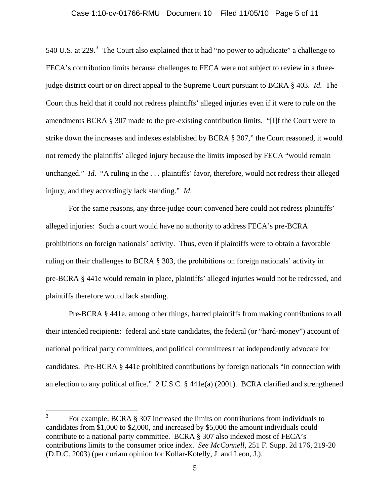#### Case 1:10-cv-01766-RMU Document 10 Filed 11/05/10 Page 5 of 11

540 U.S. at 229. $3$  The Court also explained that it had "no power to adjudicate" a challenge to FECA's contribution limits because challenges to FECA were not subject to review in a threejudge district court or on direct appeal to the Supreme Court pursuant to BCRA § 403. *Id*. The Court thus held that it could not redress plaintiffs' alleged injuries even if it were to rule on the amendments BCRA § 307 made to the pre-existing contribution limits. "[I]f the Court were to strike down the increases and indexes established by BCRA § 307," the Court reasoned, it would not remedy the plaintiffs' alleged injury because the limits imposed by FECA "would remain unchanged." *Id.* "A ruling in the ... plaintiffs' favor, therefore, would not redress their alleged injury, and they accordingly lack standing." *Id*.

 For the same reasons, any three-judge court convened here could not redress plaintiffs' alleged injuries: Such a court would have no authority to address FECA's pre-BCRA prohibitions on foreign nationals' activity. Thus, even if plaintiffs were to obtain a favorable ruling on their challenges to BCRA § 303, the prohibitions on foreign nationals' activity in pre-BCRA § 441e would remain in place, plaintiffs' alleged injuries would not be redressed, and plaintiffs therefore would lack standing.

Pre-BCRA § 441e, among other things, barred plaintiffs from making contributions to all their intended recipients: federal and state candidates, the federal (or "hard-money") account of national political party committees, and political committees that independently advocate for candidates. Pre-BCRA § 441e prohibited contributions by foreign nationals "in connection with an election to any political office." 2 U.S.C. § 441e(a) (2001). BCRA clarified and strengthened

<span id="page-4-0"></span> $\frac{1}{3}$  For example, BCRA § 307 increased the limits on contributions from individuals to candidates from \$1,000 to \$2,000, and increased by \$5,000 the amount individuals could contribute to a national party committee. BCRA § 307 also indexed most of FECA's contributions limits to the consumer price index. *See McConnell*, 251 F. Supp. 2d 176, 219-20 (D.D.C. 2003) (per curiam opinion for Kollar-Kotelly, J. and Leon, J.).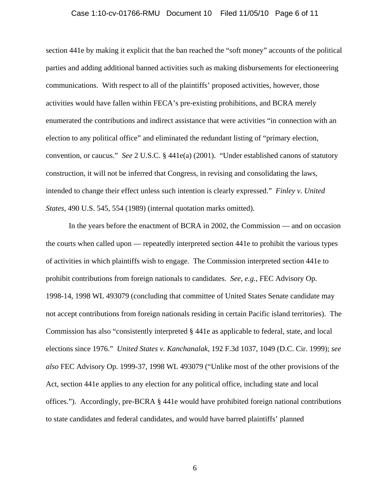#### Case 1:10-cv-01766-RMU Document 10 Filed 11/05/10 Page 6 of 11

section 441e by making it explicit that the ban reached the "soft money" accounts of the political parties and adding additional banned activities such as making disbursements for electioneering communications. With respect to all of the plaintiffs' proposed activities, however, those activities would have fallen within FECA's pre-existing prohibitions, and BCRA merely enumerated the contributions and indirect assistance that were activities "in connection with an election to any political office" and eliminated the redundant listing of "primary election, convention, or caucus." *See* 2 U.S.C. § 441e(a) (2001). "Under established canons of statutory construction, it will not be inferred that Congress, in revising and consolidating the laws, intended to change their effect unless such intention is clearly expressed." *Finley v. United States*, 490 U.S. 545, 554 (1989) (internal quotation marks omitted).

In the years before the enactment of BCRA in 2002, the Commission — and on occasion the courts when called upon — repeatedly interpreted section 441e to prohibit the various types of activities in which plaintiffs wish to engage. The Commission interpreted section 441e to prohibit contributions from foreign nationals to candidates. *See*, *e.g.*, FEC Advisory Op. 1998-14, 1998 WL 493079 (concluding that committee of United States Senate candidate may not accept contributions from foreign nationals residing in certain Pacific island territories). The Commission has also "consistently interpreted § 441e as applicable to federal, state, and local elections since 1976." *United States v. Kanchanalak*, 192 F.3d 1037, 1049 (D.C. Cir. 1999); *see also* FEC Advisory Op. 1999-37, 1998 WL 493079 ("Unlike most of the other provisions of the Act, section 441e applies to any election for any political office, including state and local offices."). Accordingly, pre-BCRA § 441e would have prohibited foreign national contributions to state candidates and federal candidates, and would have barred plaintiffs' planned

6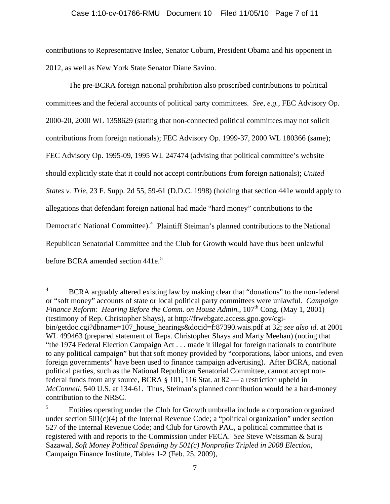#### Case 1:10-cv-01766-RMU Document 10 Filed 11/05/10 Page 7 of 11

contributions to Representative Inslee, Senator Coburn, President Obama and his opponent in 2012, as well as New York State Senator Diane Savino.

The pre-BCRA foreign national prohibition also proscribed contributions to political committees and the federal accounts of political party committees. *See*, *e.g.*, FEC Advisory Op. 2000-20, 2000 WL 1358629 (stating that non-connected political committees may not solicit contributions from foreign nationals); FEC Advisory Op. 1999-37, 2000 WL 180366 (same); FEC Advisory Op. 1995-09, 1995 WL 247474 (advising that political committee's website should explicitly state that it could not accept contributions from foreign nationals); *United States v. Trie*, 23 F. Supp. 2d 55, 59-61 (D.D.C. 1998) (holding that section 441e would apply to allegations that defendant foreign national had made "hard money" contributions to the Democratic National Committee).<sup>[4](#page-6-0)</sup> Plaintiff Steiman's planned contributions to the National Republican Senatorial Committee and the Club for Growth would have thus been unlawful before BCRA amended section 441e.<sup>[5](#page-6-1)</sup>

<span id="page-6-0"></span> $\frac{1}{4}$  BCRA arguably altered existing law by making clear that "donations" to the non-federal or "soft money" accounts of state or local political party committees were unlawful. *Campaign Finance Reform: Hearing Before the Comm. on House Admin.*, 107<sup>th</sup> Cong. (May 1, 2001) (testimony of Rep. Christopher Shays), at http://frwebgate.access.gpo.gov/cgibin/getdoc.cgi?dbname=107\_house\_hearings&docid=f:87390.wais.pdf at 32; *see also id*. at 2001 WL 499463 (prepared statement of Reps. Christopher Shays and Marty Meehan) (noting that "the 1974 Federal Election Campaign Act . . . made it illegal for foreign nationals to contribute to any political campaign" but that soft money provided by "corporations, labor unions, and even foreign governments" have been used to finance campaign advertising). After BCRA, national political parties, such as the National Republican Senatorial Committee, cannot accept nonfederal funds from any source, BCRA § 101, 116 Stat. at 82 — a restriction upheld in *McConnell,* 540 U.S. at 134-61. Thus, Steiman's planned contribution would be a hard-money contribution to the NRSC.

<span id="page-6-1"></span><sup>5</sup> Entities operating under the Club for Growth umbrella include a corporation organized under section 501(c)(4) of the Internal Revenue Code; a "political organization" under section 527 of the Internal Revenue Code; and Club for Growth PAC, a political committee that is registered with and reports to the Commission under FECA. *See* Steve Weissman & Suraj Sazawal, *Soft Money Political Spending by 501(c) Nonprofits Tripled in 2008 Election*, Campaign Finance Institute, Tables 1-2 (Feb. 25, 2009),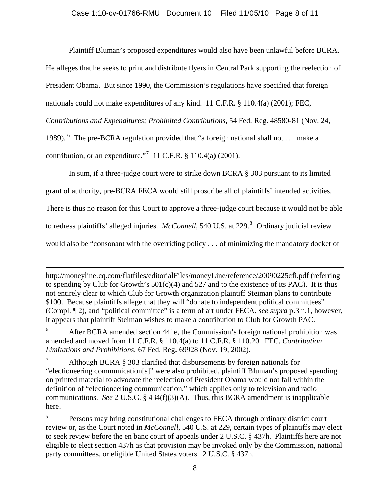Plaintiff Bluman's proposed expenditures would also have been unlawful before BCRA.

He alleges that he seeks to print and distribute flyers in Central Park supporting the reelection of

President Obama. But since 1990, the Commission's regulations have specified that foreign

nationals could not make expenditures of any kind. 11 C.F.R. § 110.4(a) (2001); FEC,

*Contributions and Expenditures; Prohibited Contributions*, 54 Fed. Reg. 48580-81 (Nov. 24,

1989). <sup>[6](#page-7-0)</sup> The pre-BCRA regulation provided that "a foreign national shall not . . . make a

contribution, or an expenditure."<sup>[7](#page-7-1)</sup> 11 C.F.R.  $\S$  110.4(a) (2001).

 $\overline{a}$ 

In sum, if a three-judge court were to strike down BCRA § 303 pursuant to its limited

grant of authority, pre-BCRA FECA would still proscribe all of plaintiffs' intended activities.

There is thus no reason for this Court to approve a three-judge court because it would not be able

to redress plaintiffs' alleged injuries. *McConnell*, 540 U.S. at 229.<sup>[8](#page-7-2)</sup> Ordinary judicial review

would also be "consonant with the overriding policy . . . of minimizing the mandatory docket of

http://moneyline.cq.com/flatfiles/editorialFiles/moneyLine/reference/20090225cfi.pdf (referring to spending by Club for Growth's  $501(c)(4)$  and  $527$  and to the existence of its PAC). It is thus not entirely clear to which Club for Growth organization plaintiff Steiman plans to contribute \$100. Because plaintiffs allege that they will "donate to independent political committees" (Compl. ¶ 2), and "political committee" is a term of art under FECA, *see supra* p.3 n.1, however, it appears that plaintiff Steiman wishes to make a contribution to Club for Growth PAC.

<span id="page-7-0"></span>6 After BCRA amended section 441e, the Commission's foreign national prohibition was amended and moved from 11 C.F.R. § 110.4(a) to 11 C.F.R. § 110.20. FEC, *Contribution Limitations and Prohibitions,* 67 Fed. Reg. 69928 (Nov. 19, 2002).

<span id="page-7-1"></span>7 Although BCRA § 303 clarified that disbursements by foreign nationals for "electioneering communication[s]" were also prohibited, plaintiff Bluman's proposed spending on printed material to advocate the reelection of President Obama would not fall within the definition of "electioneering communication," which applies only to television and radio communications. *See* 2 U.S.C. § 434(f)(3)(A). Thus, this BCRA amendment is inapplicable here.

<span id="page-7-2"></span>8 Persons may bring constitutional challenges to FECA through ordinary district court review or, as the Court noted in *McConnell*, 540 U.S. at 229, certain types of plaintiffs may elect to seek review before the en banc court of appeals under 2 U.S.C. § 437h. Plaintiffs here are not eligible to elect section 437h as that provision may be invoked only by the Commission, national party committees, or eligible United States voters. 2 U.S.C. § 437h.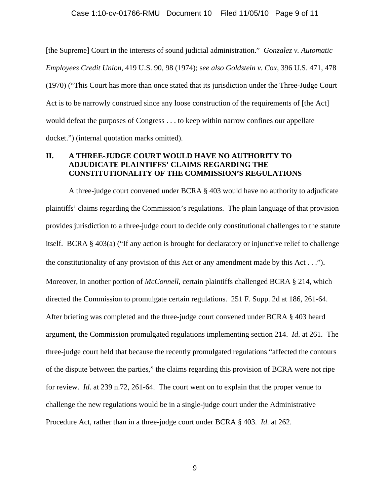[the Supreme] Court in the interests of sound judicial administration." *Gonzalez v. Automatic Employees Credit Union,* 419 U.S. 90, 98 (1974); s*ee also Goldstein v. Cox*, 396 U.S. 471, 478 (1970) ("This Court has more than once stated that its jurisdiction under the Three-Judge Court Act is to be narrowly construed since any loose construction of the requirements of [the Act] would defeat the purposes of Congress . . . to keep within narrow confines our appellate docket.") (internal quotation marks omitted).

### **II. A THREE-JUDGE COURT WOULD HAVE NO AUTHORITY TO ADJUDICATE PLAINTIFFS' CLAIMS REGARDING THE CONSTITUTIONALITY OF THE COMMISSION'S REGULATIONS**

A three-judge court convened under BCRA § 403 would have no authority to adjudicate plaintiffs' claims regarding the Commission's regulations. The plain language of that provision provides jurisdiction to a three-judge court to decide only constitutional challenges to the statute itself. BCRA § 403(a) ("If any action is brought for declaratory or injunctive relief to challenge the constitutionality of any provision of this Act or any amendment made by this Act . . ."). Moreover, in another portion of *McConnell*, certain plaintiffs challenged BCRA § 214, which directed the Commission to promulgate certain regulations. 251 F. Supp. 2d at 186, 261-64. After briefing was completed and the three-judge court convened under BCRA § 403 heard argument, the Commission promulgated regulations implementing section 214. *Id*. at 261. The three-judge court held that because the recently promulgated regulations "affected the contours of the dispute between the parties," the claims regarding this provision of BCRA were not ripe for review. *Id*. at 239 n.72, 261-64. The court went on to explain that the proper venue to challenge the new regulations would be in a single-judge court under the Administrative Procedure Act, rather than in a three-judge court under BCRA § 403. *Id*. at 262.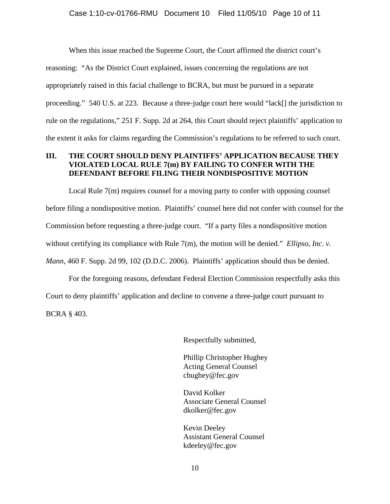When this issue reached the Supreme Court, the Court affirmed the district court's reasoning: "As the District Court explained, issues concerning the regulations are not appropriately raised in this facial challenge to BCRA, but must be pursued in a separate proceeding." 540 U.S. at 223. Because a three-judge court here would "lack[] the jurisdiction to rule on the regulations," 251 F. Supp. 2d at 264, this Court should reject plaintiffs' application to the extent it asks for claims regarding the Commission's regulations to be referred to such court.

### **III. THE COURT SHOULD DENY PLAINTIFFS' APPLICATION BECAUSE THEY VIOLATED LOCAL RULE 7(m) BY FAILING TO CONFER WITH THE DEFENDANT BEFORE FILING THEIR NONDISPOSITIVE MOTION**

Local Rule  $7(m)$  requires counsel for a moving party to confer with opposing counsel before filing a nondispositive motion. Plaintiffs' counsel here did not confer with counsel for the Commission before requesting a three-judge court. "If a party files a nondispositive motion without certifying its compliance with Rule 7(m), the motion will be denied." *Ellipso, Inc. v. Mann*, 460 F. Supp. 2d 99, 102 (D.D.C. 2006). Plaintiffs' application should thus be denied.

For the foregoing reasons, defendant Federal Election Commission respectfully asks this Court to deny plaintiffs' application and decline to convene a three-judge court pursuant to BCRA § 403.

Respectfully submitted,

Phillip Christopher Hughey Acting General Counsel chughey@fec.gov

David Kolker Associate General Counsel dkolker@fec.gov

Kevin Deeley Assistant General Counsel kdeeley@fec.gov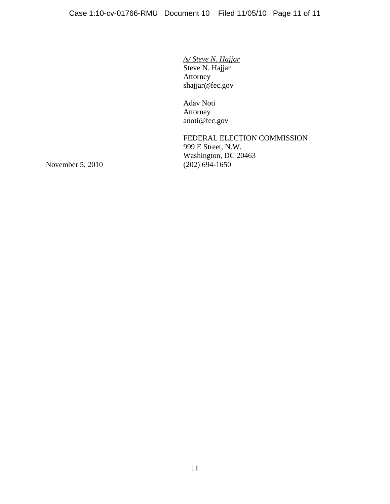*/s/ Steve N. Hajjar* Steve N. Hajjar Attorney shajjar@fec.gov

 Adav Noti Attorney anoti@fec.gov

FEDERAL ELECTION COMMISSION 999 E Street, N.W. Washington, DC 20463<br>(202) 694-1650

November 5, 2010